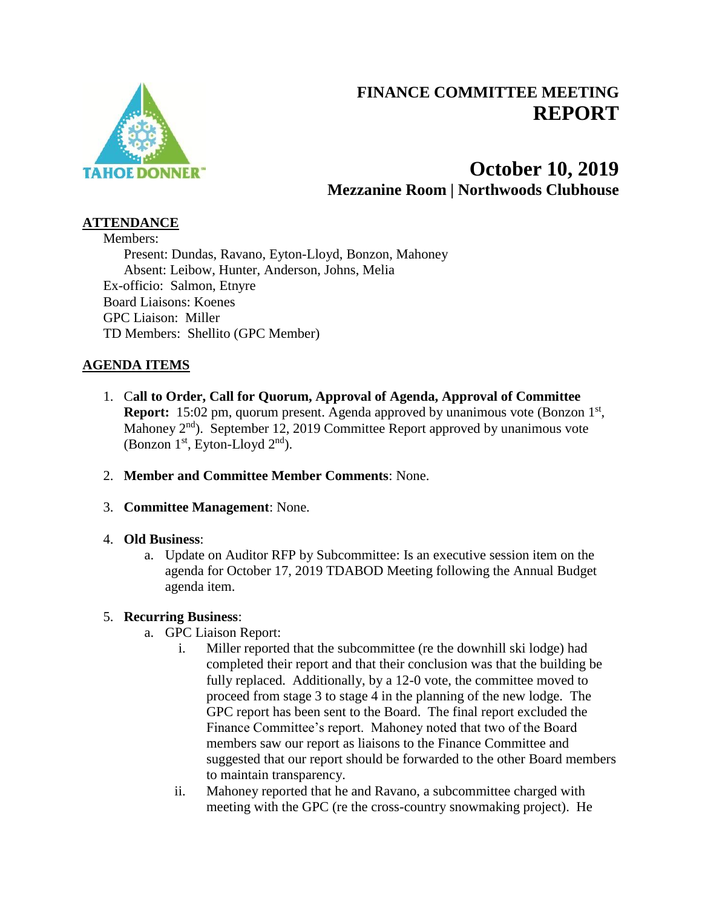

## **FINANCE COMMITTEE MEETING REPORT**

# **October 10, 2019 Mezzanine Room | Northwoods Clubhouse**

#### **ATTENDANCE**

Members: Present: Dundas, Ravano, Eyton-Lloyd, Bonzon, Mahoney Absent: Leibow, Hunter, Anderson, Johns, Melia Ex-officio: Salmon, Etnyre Board Liaisons: Koenes GPC Liaison: Miller TD Members: Shellito (GPC Member)

### **AGENDA ITEMS**

- 1. C**all to Order, Call for Quorum, Approval of Agenda, Approval of Committee Report:** 15:02 pm, quorum present. Agenda approved by unanimous vote (Bonzon 1<sup>st</sup>, Mahoney  $2<sup>nd</sup>$ ). September 12, 2019 Committee Report approved by unanimous vote (Bonzon  $1<sup>st</sup>$ , Eyton-Lloyd  $2<sup>nd</sup>$ ).
- 2. **Member and Committee Member Comments**: None.
- 3. **Committee Management**: None.

#### 4. **Old Business**:

a. Update on Auditor RFP by Subcommittee: Is an executive session item on the agenda for October 17, 2019 TDABOD Meeting following the Annual Budget agenda item.

#### 5. **Recurring Business**:

- a. GPC Liaison Report:
	- i. Miller reported that the subcommittee (re the downhill ski lodge) had completed their report and that their conclusion was that the building be fully replaced. Additionally, by a 12-0 vote, the committee moved to proceed from stage 3 to stage 4 in the planning of the new lodge. The GPC report has been sent to the Board. The final report excluded the Finance Committee's report. Mahoney noted that two of the Board members saw our report as liaisons to the Finance Committee and suggested that our report should be forwarded to the other Board members to maintain transparency.
	- ii. Mahoney reported that he and Ravano, a subcommittee charged with meeting with the GPC (re the cross-country snowmaking project). He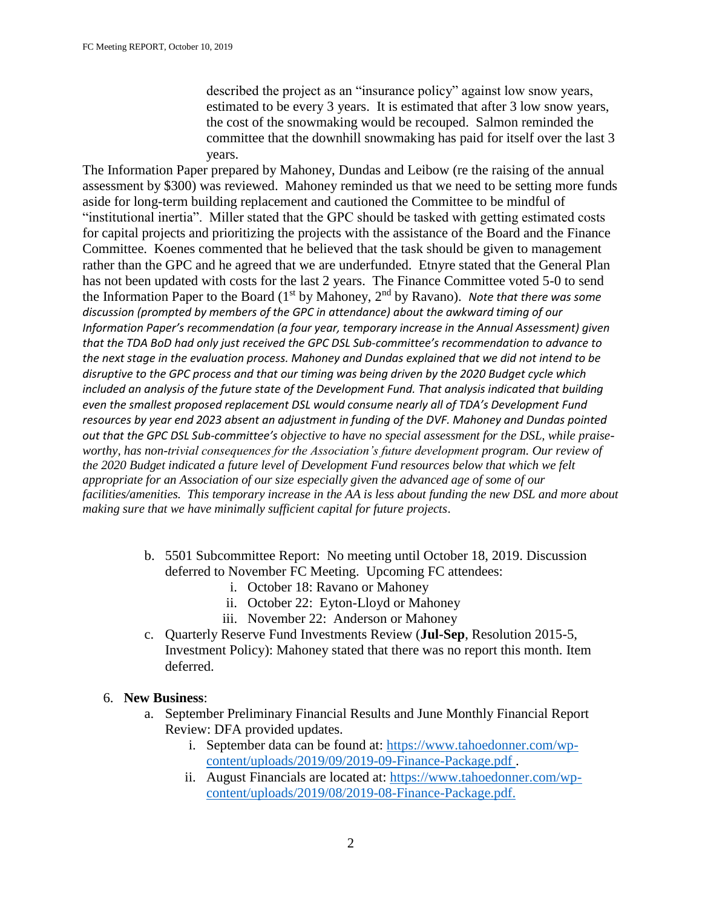described the project as an "insurance policy" against low snow years, estimated to be every 3 years. It is estimated that after 3 low snow years, the cost of the snowmaking would be recouped. Salmon reminded the committee that the downhill snowmaking has paid for itself over the last 3 years.

The Information Paper prepared by Mahoney, Dundas and Leibow (re the raising of the annual assessment by \$300) was reviewed. Mahoney reminded us that we need to be setting more funds aside for long-term building replacement and cautioned the Committee to be mindful of "institutional inertia". Miller stated that the GPC should be tasked with getting estimated costs for capital projects and prioritizing the projects with the assistance of the Board and the Finance Committee. Koenes commented that he believed that the task should be given to management rather than the GPC and he agreed that we are underfunded. Etnyre stated that the General Plan has not been updated with costs for the last 2 years. The Finance Committee voted 5-0 to send the Information Paper to the Board (1<sup>st</sup> by Mahoney, 2<sup>nd</sup> by Ravano). Note that there was some *discussion (prompted by members of the GPC in attendance) about the awkward timing of our Information Paper's recommendation (a four year, temporary increase in the Annual Assessment) given that the TDA BoD had only just received the GPC DSL Sub-committee's recommendation to advance to the next stage in the evaluation process. Mahoney and Dundas explained that we did not intend to be disruptive to the GPC process and that our timing was being driven by the 2020 Budget cycle which included an analysis of the future state of the Development Fund. That analysis indicated that building even the smallest proposed replacement DSL would consume nearly all of TDA's Development Fund resources by year end 2023 absent an adjustment in funding of the DVF. Mahoney and Dundas pointed out that the GPC DSL Sub-committee's objective to have no special assessment for the DSL, while praiseworthy, has non-trivial consequences for the Association's future development program. Our review of the 2020 Budget indicated a future level of Development Fund resources below that which we felt appropriate for an Association of our size especially given the advanced age of some of our facilities/amenities. This temporary increase in the AA is less about funding the new DSL and more about making sure that we have minimally sufficient capital for future projects*.

- b. 5501 Subcommittee Report: No meeting until October 18, 2019. Discussion deferred to November FC Meeting. Upcoming FC attendees:
	- i. October 18: Ravano or Mahoney
	- ii. October 22: Eyton-Lloyd or Mahoney
	- iii. November 22: Anderson or Mahoney
- c. Quarterly Reserve Fund Investments Review (**Jul-Sep**, Resolution 2015-5, Investment Policy): Mahoney stated that there was no report this month. Item deferred.

#### 6. **New Business**:

- a. September Preliminary Financial Results and June Monthly Financial Report Review: DFA provided updates.
	- i. September data can be found at: [https://www.tahoedonner.com/wp](https://www.tahoedonner.com/wp-content/uploads/2019/09/2019-09-Finance-Package.pdf)[content/uploads/2019/09/2019-09-Finance-Package.pdf .](https://www.tahoedonner.com/wp-content/uploads/2019/09/2019-09-Finance-Package.pdf)
	- ii. August Financials are located at: [https://www.tahoedonner.com/wp](https://www.tahoedonner.com/wp-content/uploads/2019/08/2019-08-Finance-Package.pdf)[content/uploads/2019/08/2019-08-Finance-Package.pdf.](https://www.tahoedonner.com/wp-content/uploads/2019/08/2019-08-Finance-Package.pdf)